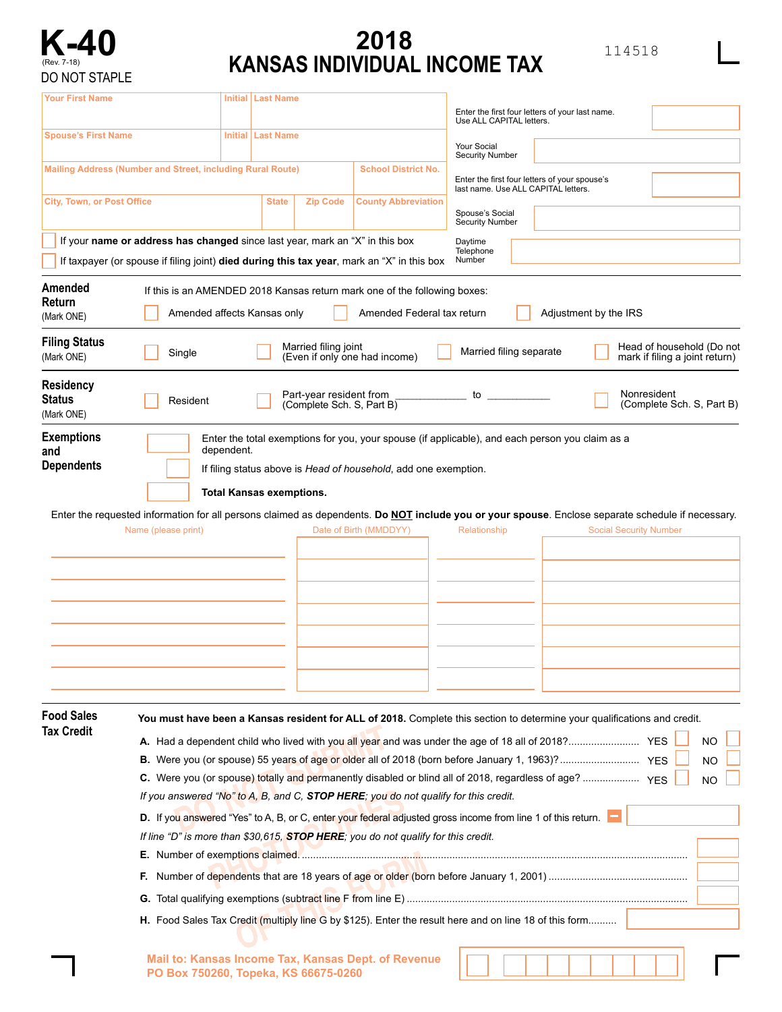

## **2018 KANSAS INDIVIDUAL INCOME TAX**

114518

| Your First Name                    |                                                                                                                                                                 |            | Initial   Last Name                                                                                                                               |                            |                                                                                      |  |                                                             |           |  |  |  |  |  |
|------------------------------------|-----------------------------------------------------------------------------------------------------------------------------------------------------------------|------------|---------------------------------------------------------------------------------------------------------------------------------------------------|----------------------------|--------------------------------------------------------------------------------------|--|-------------------------------------------------------------|-----------|--|--|--|--|--|
| <b>Spouse's First Name</b>         |                                                                                                                                                                 |            | <b>Initial   Last Name</b>                                                                                                                        |                            | Enter the first four letters of your last name.<br>Use ALL CAPITAL letters.          |  |                                                             |           |  |  |  |  |  |
|                                    |                                                                                                                                                                 |            |                                                                                                                                                   |                            | Your Social<br><b>Security Number</b>                                                |  |                                                             |           |  |  |  |  |  |
|                                    | Mailing Address (Number and Street, including Rural Route)                                                                                                      |            |                                                                                                                                                   | <b>School District No.</b> | Enter the first four letters of your spouse's<br>last name. Use ALL CAPITAL letters. |  |                                                             |           |  |  |  |  |  |
| <b>City, Town, or Post Office</b>  |                                                                                                                                                                 |            | <b>Zip Code</b><br><b>State</b>                                                                                                                   | <b>County Abbreviation</b> | Spouse's Social                                                                      |  |                                                             |           |  |  |  |  |  |
|                                    |                                                                                                                                                                 |            | If your name or address has changed since last year, mark an "X" in this box                                                                      |                            | <b>Security Number</b><br>Daytime                                                    |  |                                                             |           |  |  |  |  |  |
|                                    |                                                                                                                                                                 |            | If taxpayer (or spouse if filing joint) died during this tax year, mark an "X" in this box                                                        |                            | Telephone<br>Number                                                                  |  |                                                             |           |  |  |  |  |  |
| Amended<br>Return<br>(Mark ONE)    | If this is an AMENDED 2018 Kansas return mark one of the following boxes:<br>Amended affects Kansas only<br>Amended Federal tax return<br>Adjustment by the IRS |            |                                                                                                                                                   |                            |                                                                                      |  |                                                             |           |  |  |  |  |  |
| <b>Filing Status</b><br>(Mark ONE) | Single                                                                                                                                                          |            | Married filing joint<br>(Even if only one had income)                                                                                             |                            | Married filing separate                                                              |  | Head of household (Do not<br>mark if filing a joint return) |           |  |  |  |  |  |
| Residency<br>Status<br>(Mark ONE)  | Resident                                                                                                                                                        |            | Part-year resident from<br>(Complete Sch. S, Part B)                                                                                              |                            | to                                                                                   |  | Nonresident<br>(Complete Sch. S, Part B)                    |           |  |  |  |  |  |
| <b>Exemptions</b><br>and           |                                                                                                                                                                 | dependent. | Enter the total exemptions for you, your spouse (if applicable), and each person you claim as a                                                   |                            |                                                                                      |  |                                                             |           |  |  |  |  |  |
| <b>Dependents</b>                  |                                                                                                                                                                 |            | If filing status above is Head of household, add one exemption.                                                                                   |                            |                                                                                      |  |                                                             |           |  |  |  |  |  |
|                                    | <b>Total Kansas exemptions.</b>                                                                                                                                 |            |                                                                                                                                                   |                            |                                                                                      |  |                                                             |           |  |  |  |  |  |
|                                    |                                                                                                                                                                 |            | Enter the requested information for all persons claimed as dependents. Do NOT include you or your spouse. Enclose separate schedule if necessary. |                            |                                                                                      |  |                                                             |           |  |  |  |  |  |
|                                    | Name (please print)                                                                                                                                             |            |                                                                                                                                                   | Date of Birth (MMDDYY)     | Relationship                                                                         |  | <b>Social Security Number</b>                               |           |  |  |  |  |  |
|                                    |                                                                                                                                                                 |            |                                                                                                                                                   |                            |                                                                                      |  |                                                             |           |  |  |  |  |  |
|                                    |                                                                                                                                                                 |            |                                                                                                                                                   |                            |                                                                                      |  |                                                             |           |  |  |  |  |  |
|                                    |                                                                                                                                                                 |            |                                                                                                                                                   |                            |                                                                                      |  |                                                             |           |  |  |  |  |  |
|                                    |                                                                                                                                                                 |            |                                                                                                                                                   |                            |                                                                                      |  |                                                             |           |  |  |  |  |  |
|                                    |                                                                                                                                                                 |            |                                                                                                                                                   |                            |                                                                                      |  |                                                             |           |  |  |  |  |  |
|                                    |                                                                                                                                                                 |            |                                                                                                                                                   |                            |                                                                                      |  |                                                             |           |  |  |  |  |  |
|                                    |                                                                                                                                                                 |            |                                                                                                                                                   |                            |                                                                                      |  |                                                             |           |  |  |  |  |  |
|                                    |                                                                                                                                                                 |            |                                                                                                                                                   |                            |                                                                                      |  |                                                             |           |  |  |  |  |  |
| <b>Food Sales</b><br>Tax Credit    |                                                                                                                                                                 |            | You must have been a Kansas resident for ALL of 2018. Complete this section to determine your qualifications and credit.                          |                            |                                                                                      |  |                                                             |           |  |  |  |  |  |
|                                    |                                                                                                                                                                 |            |                                                                                                                                                   |                            |                                                                                      |  |                                                             | <b>NO</b> |  |  |  |  |  |
|                                    | <b>NO</b>                                                                                                                                                       |            |                                                                                                                                                   |                            |                                                                                      |  |                                                             |           |  |  |  |  |  |
|                                    | <b>NO</b><br>If you answered "No" to A, B, and C, STOP HERE; you do not qualify for this credit.                                                                |            |                                                                                                                                                   |                            |                                                                                      |  |                                                             |           |  |  |  |  |  |
|                                    | D. If you answered "Yes" to A, B, or C, enter your federal adjusted gross income from line 1 of this return.                                                    |            |                                                                                                                                                   |                            |                                                                                      |  |                                                             |           |  |  |  |  |  |
|                                    | If line "D" is more than \$30,615, STOP HERE; you do not qualify for this credit.                                                                               |            |                                                                                                                                                   |                            |                                                                                      |  |                                                             |           |  |  |  |  |  |
|                                    |                                                                                                                                                                 |            |                                                                                                                                                   |                            |                                                                                      |  |                                                             |           |  |  |  |  |  |
|                                    |                                                                                                                                                                 |            |                                                                                                                                                   |                            |                                                                                      |  |                                                             |           |  |  |  |  |  |
|                                    |                                                                                                                                                                 |            |                                                                                                                                                   |                            |                                                                                      |  |                                                             |           |  |  |  |  |  |
|                                    | H. Food Sales Tax Credit (multiply line G by \$125). Enter the result here and on line 18 of this form                                                          |            |                                                                                                                                                   |                            |                                                                                      |  |                                                             |           |  |  |  |  |  |
|                                    |                                                                                                                                                                 |            |                                                                                                                                                   |                            |                                                                                      |  |                                                             |           |  |  |  |  |  |
|                                    |                                                                                                                                                                 |            | Mail to: Kansas Income Tax, Kansas Dept. of Revenue<br>PO Box 750260, Topeka, KS 66675-0260                                                       |                            |                                                                                      |  |                                                             |           |  |  |  |  |  |